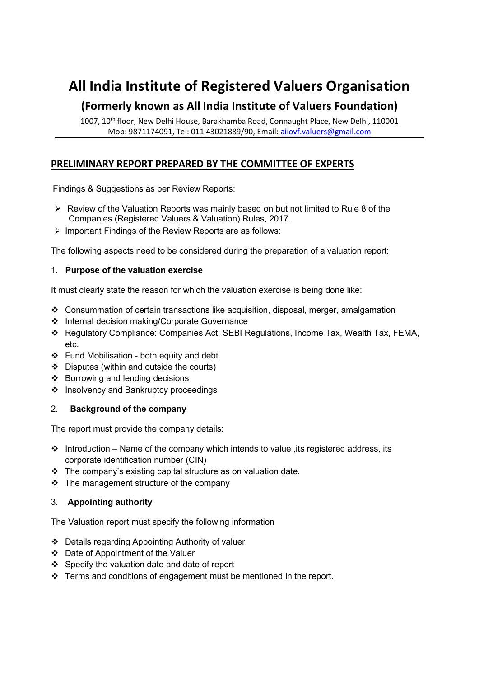# All India Institute of Registered Valuers Organisation

## (Formerly known as All India Institute of Valuers Foundation)

1007, 10<sup>th</sup> floor, New Delhi House, Barakhamba Road, Connaught Place, New Delhi, 110001 Mob: 9871174091, Tel: 011 43021889/90, Email: aiiovf.valuers@gmail.com

### PRELIMINARY REPORT PREPARED BY THE COMMITTEE OF EXPERTS

Findings & Suggestions as per Review Reports:

- $\triangleright$  Review of the Valuation Reports was mainly based on but not limited to Rule 8 of the Companies (Registered Valuers & Valuation) Rules, 2017.
- $\triangleright$  Important Findings of the Review Reports are as follows:

The following aspects need to be considered during the preparation of a valuation report:

#### 1. Purpose of the valuation exercise

It must clearly state the reason for which the valuation exercise is being done like:

- Consummation of certain transactions like acquisition, disposal, merger, amalgamation
- Internal decision making/Corporate Governance
- Regulatory Compliance: Companies Act, SEBI Regulations, Income Tax, Wealth Tax, FEMA, etc.
- Fund Mobilisation both equity and debt
- Disputes (within and outside the courts)
- $\div$  Borrowing and lending decisions
- ❖ Insolvency and Bankruptcy proceedings

#### 2. Background of the company

The report must provide the company details:

- $\cdot \cdot$  Introduction Name of the company which intends to value, its registered address, its corporate identification number (CIN)
- $\cdot \cdot$  The company's existing capital structure as on valuation date.
- $\div$  The management structure of the company

#### 3. Appointing authority

The Valuation report must specify the following information

- Details regarding Appointing Authority of valuer
- Date of Appointment of the Valuer
- Specify the valuation date and date of report
- $\div$  Terms and conditions of engagement must be mentioned in the report.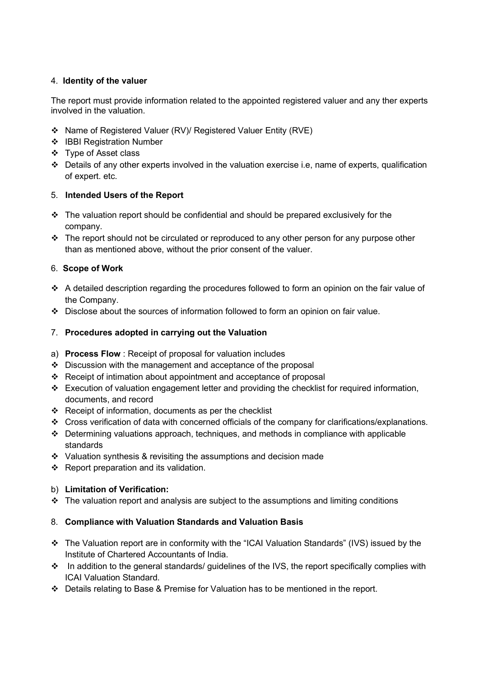#### 4. Identity of the valuer

The report must provide information related to the appointed registered valuer and any ther experts involved in the valuation.

- Name of Registered Valuer (RV)/ Registered Valuer Entity (RVE)
- IBBI Registration Number
- Type of Asset class
- $\cdot \cdot$  Details of any other experts involved in the valuation exercise i.e, name of experts, qualification of expert. etc.

#### 5. Intended Users of the Report

- $\cdot \cdot$  The valuation report should be confidential and should be prepared exclusively for the company.
- The report should not be circulated or reproduced to any other person for any purpose other than as mentioned above, without the prior consent of the valuer.

#### 6. Scope of Work

- $\div$  A detailed description regarding the procedures followed to form an opinion on the fair value of the Company.
- Disclose about the sources of information followed to form an opinion on fair value.

#### 7. Procedures adopted in carrying out the Valuation

- a) Process Flow : Receipt of proposal for valuation includes
- $\div$  Discussion with the management and acceptance of the proposal
- Receipt of intimation about appointment and acceptance of proposal
- $\div$  Execution of valuation engagement letter and providing the checklist for required information, documents, and record
- \* Receipt of information, documents as per the checklist
- Cross verification of data with concerned officials of the company for clarifications/explanations.
- Determining valuations approach, techniques, and methods in compliance with applicable standards
- $\cdot$  Valuation synthesis & revisiting the assumptions and decision made
- $\div$  Report preparation and its validation.

#### b) Limitation of Verification:

 $\cdot \cdot$  The valuation report and analysis are subject to the assumptions and limiting conditions

#### 8. Compliance with Valuation Standards and Valuation Basis

- The Valuation report are in conformity with the "ICAI Valuation Standards" (IVS) issued by the Institute of Chartered Accountants of India.
- \* In addition to the general standards/ guidelines of the IVS, the report specifically complies with ICAI Valuation Standard.
- Details relating to Base & Premise for Valuation has to be mentioned in the report.